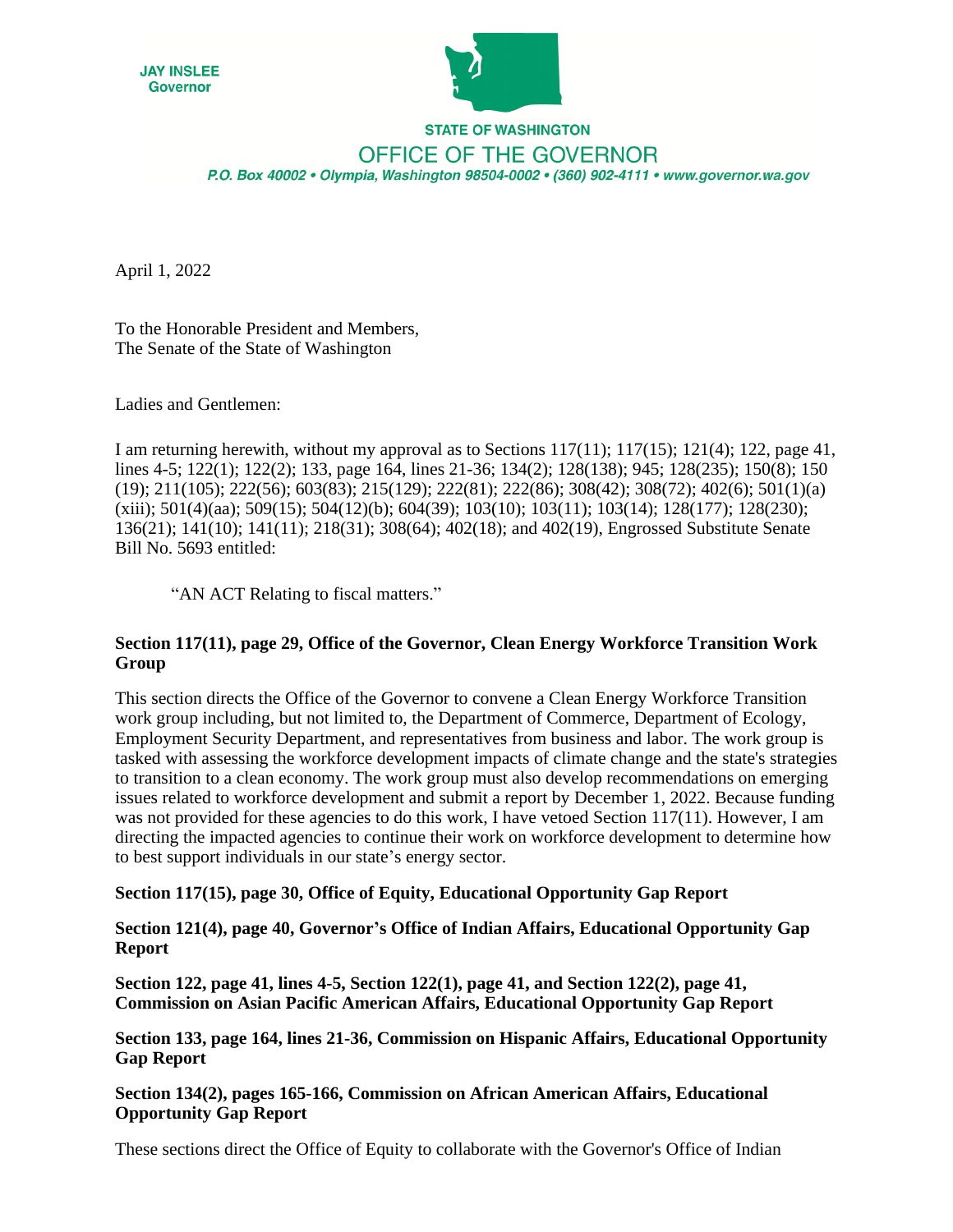



# **STATE OF WASHINGTON** OFFICE OF THE GOVERNOR P.O. Box 40002 · Olympia, Washington 98504-0002 · (360) 902-4111 · www.governor.wa.gov

April 1, 2022

To the Honorable President and Members, The Senate of the State of Washington

Ladies and Gentlemen:

I am returning herewith, without my approval as to Sections  $117(11)$ ;  $117(15)$ ;  $121(4)$ ;  $122$ , page 41, lines 4-5; 122(1); 122(2); 133, page 164, lines 21-36; 134(2); 128(138); 945; 128(235); 150(8); 150 (19); 211(105); 222(56); 603(83); 215(129); 222(81); 222(86); 308(42); 308(72); 402(6); 501(1)(a) (xiii); 501(4)(aa); 509(15); 504(12)(b); 604(39); 103(10); 103(11); 103(14); 128(177); 128(230); 136(21); 141(10); 141(11); 218(31); 308(64); 402(18); and 402(19), Engrossed Substitute Senate Bill No. 5693 entitled:

"AN ACT Relating to fiscal matters."

#### **Section 117(11), page 29, Office of the Governor, Clean Energy Workforce Transition Work Group**

This section directs the Office of the Governor to convene a Clean Energy Workforce Transition work group including, but not limited to, the Department of Commerce, Department of Ecology, Employment Security Department, and representatives from business and labor. The work group is tasked with assessing the workforce development impacts of climate change and the state's strategies to transition to a clean economy. The work group must also develop recommendations on emerging issues related to workforce development and submit a report by December 1, 2022. Because funding was not provided for these agencies to do this work, I have vetoed Section 117(11). However, I am directing the impacted agencies to continue their work on workforce development to determine how to best support individuals in our state's energy sector.

### **Section 117(15), page 30, Office of Equity, Educational Opportunity Gap Report**

**Section 121(4), page 40, Governor's Office of Indian Affairs, Educational Opportunity Gap Report** 

**Section 122, page 41, lines 4-5, Section 122(1), page 41, and Section 122(2), page 41, Commission on Asian Pacific American Affairs, Educational Opportunity Gap Report** 

**Section 133, page 164, lines 21-36, Commission on Hispanic Affairs, Educational Opportunity Gap Report** 

**Section 134(2), pages 165-166, Commission on African American Affairs, Educational Opportunity Gap Report** 

These sections direct the Office of Equity to collaborate with the Governor's Office of Indian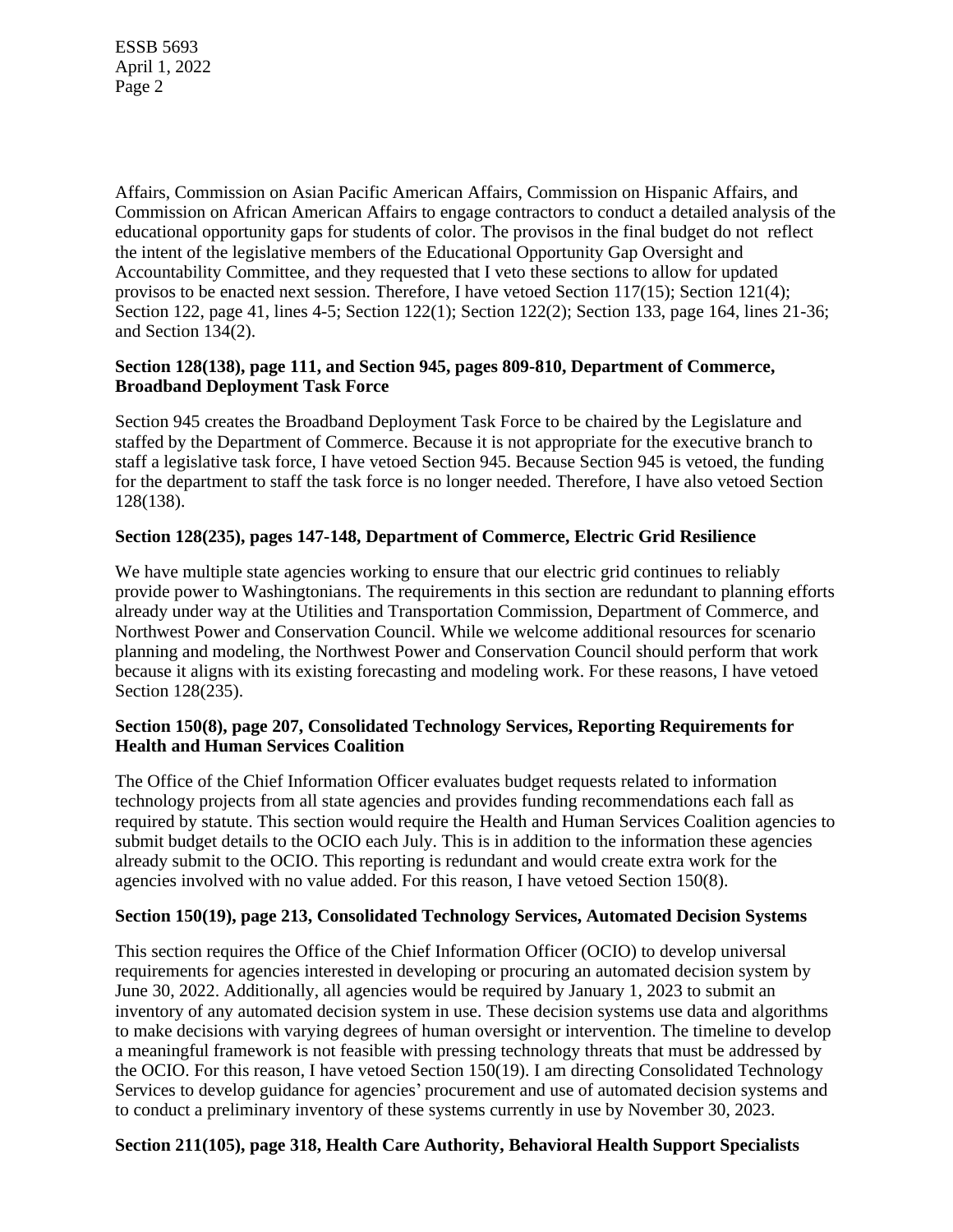Affairs, Commission on Asian Pacific American Affairs, Commission on Hispanic Affairs, and Commission on African American Affairs to engage contractors to conduct a detailed analysis of the educational opportunity gaps for students of color. The provisos in the final budget do not reflect the intent of the legislative members of the Educational Opportunity Gap Oversight and Accountability Committee, and they requested that I veto these sections to allow for updated provisos to be enacted next session. Therefore, I have vetoed Section 117(15); Section 121(4); Section 122, page 41, lines 4-5; Section 122(1); Section 122(2); Section 133, page 164, lines 21-36; and Section 134(2).

#### **Section 128(138), page 111, and Section 945, pages 809-810, Department of Commerce, Broadband Deployment Task Force**

Section 945 creates the Broadband Deployment Task Force to be chaired by the Legislature and staffed by the Department of Commerce. Because it is not appropriate for the executive branch to staff a legislative task force, I have vetoed Section 945. Because Section 945 is vetoed, the funding for the department to staff the task force is no longer needed. Therefore, I have also vetoed Section 128(138).

#### **Section 128(235), pages 147-148, Department of Commerce, Electric Grid Resilience**

We have multiple state agencies working to ensure that our electric grid continues to reliably provide power to Washingtonians. The requirements in this section are redundant to planning efforts already under way at the Utilities and Transportation Commission, Department of Commerce, and Northwest Power and Conservation Council. While we welcome additional resources for scenario planning and modeling, the Northwest Power and Conservation Council should perform that work because it aligns with its existing forecasting and modeling work. For these reasons, I have vetoed Section 128(235).

#### **Section 150(8), page 207, Consolidated Technology Services, Reporting Requirements for Health and Human Services Coalition**

The Office of the Chief Information Officer evaluates budget requests related to information technology projects from all state agencies and provides funding recommendations each fall as required by statute. This section would require the Health and Human Services Coalition agencies to submit budget details to the OCIO each July. This is in addition to the information these agencies already submit to the OCIO. This reporting is redundant and would create extra work for the agencies involved with no value added. For this reason, I have vetoed Section 150(8).

#### **Section 150(19), page 213, Consolidated Technology Services, Automated Decision Systems**

This section requires the Office of the Chief Information Officer (OCIO) to develop universal requirements for agencies interested in developing or procuring an automated decision system by June 30, 2022. Additionally, all agencies would be required by January 1, 2023 to submit an inventory of any automated decision system in use. These decision systems use data and algorithms to make decisions with varying degrees of human oversight or intervention. The timeline to develop a meaningful framework is not feasible with pressing technology threats that must be addressed by the OCIO. For this reason, I have vetoed Section 150(19). I am directing Consolidated Technology Services to develop guidance for agencies' procurement and use of automated decision systems and to conduct a preliminary inventory of these systems currently in use by November 30, 2023.

### **Section 211(105), page 318, Health Care Authority, Behavioral Health Support Specialists**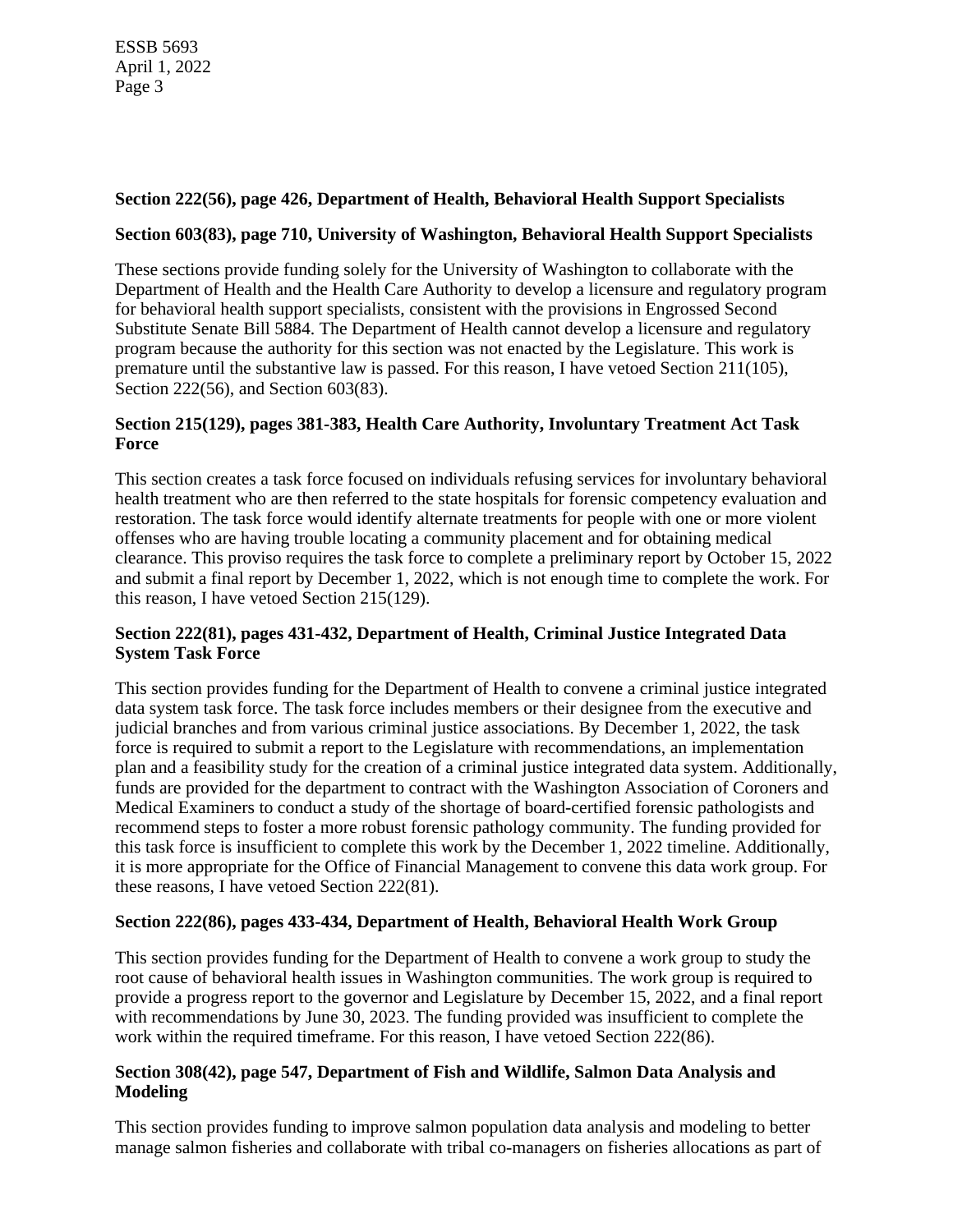## **Section 222(56), page 426, Department of Health, Behavioral Health Support Specialists**

### **Section 603(83), page 710, University of Washington, Behavioral Health Support Specialists**

These sections provide funding solely for the University of Washington to collaborate with the Department of Health and the Health Care Authority to develop a licensure and regulatory program for behavioral health support specialists, consistent with the provisions in Engrossed Second Substitute Senate Bill 5884. The Department of Health cannot develop a licensure and regulatory program because the authority for this section was not enacted by the Legislature. This work is premature until the substantive law is passed. For this reason, I have vetoed Section 211(105), Section 222(56), and Section 603(83).

#### **Section 215(129), pages 381-383, Health Care Authority, Involuntary Treatment Act Task Force**

This section creates a task force focused on individuals refusing services for involuntary behavioral health treatment who are then referred to the state hospitals for forensic competency evaluation and restoration. The task force would identify alternate treatments for people with one or more violent offenses who are having trouble locating a community placement and for obtaining medical clearance. This proviso requires the task force to complete a preliminary report by October 15, 2022 and submit a final report by December 1, 2022, which is not enough time to complete the work. For this reason, I have vetoed Section 215(129).

### **Section 222(81), pages 431-432, Department of Health, Criminal Justice Integrated Data System Task Force**

This section provides funding for the Department of Health to convene a criminal justice integrated data system task force. The task force includes members or their designee from the executive and judicial branches and from various criminal justice associations. By December 1, 2022, the task force is required to submit a report to the Legislature with recommendations, an implementation plan and a feasibility study for the creation of a criminal justice integrated data system. Additionally, funds are provided for the department to contract with the Washington Association of Coroners and Medical Examiners to conduct a study of the shortage of board-certified forensic pathologists and recommend steps to foster a more robust forensic pathology community. The funding provided for this task force is insufficient to complete this work by the December 1, 2022 timeline. Additionally, it is more appropriate for the Office of Financial Management to convene this data work group. For these reasons, I have vetoed Section 222(81).

### **Section 222(86), pages 433-434, Department of Health, Behavioral Health Work Group**

This section provides funding for the Department of Health to convene a work group to study the root cause of behavioral health issues in Washington communities. The work group is required to provide a progress report to the governor and Legislature by December 15, 2022, and a final report with recommendations by June 30, 2023. The funding provided was insufficient to complete the work within the required timeframe. For this reason, I have vetoed Section 222(86).

### **Section 308(42), page 547, Department of Fish and Wildlife, Salmon Data Analysis and Modeling**

This section provides funding to improve salmon population data analysis and modeling to better manage salmon fisheries and collaborate with tribal co-managers on fisheries allocations as part of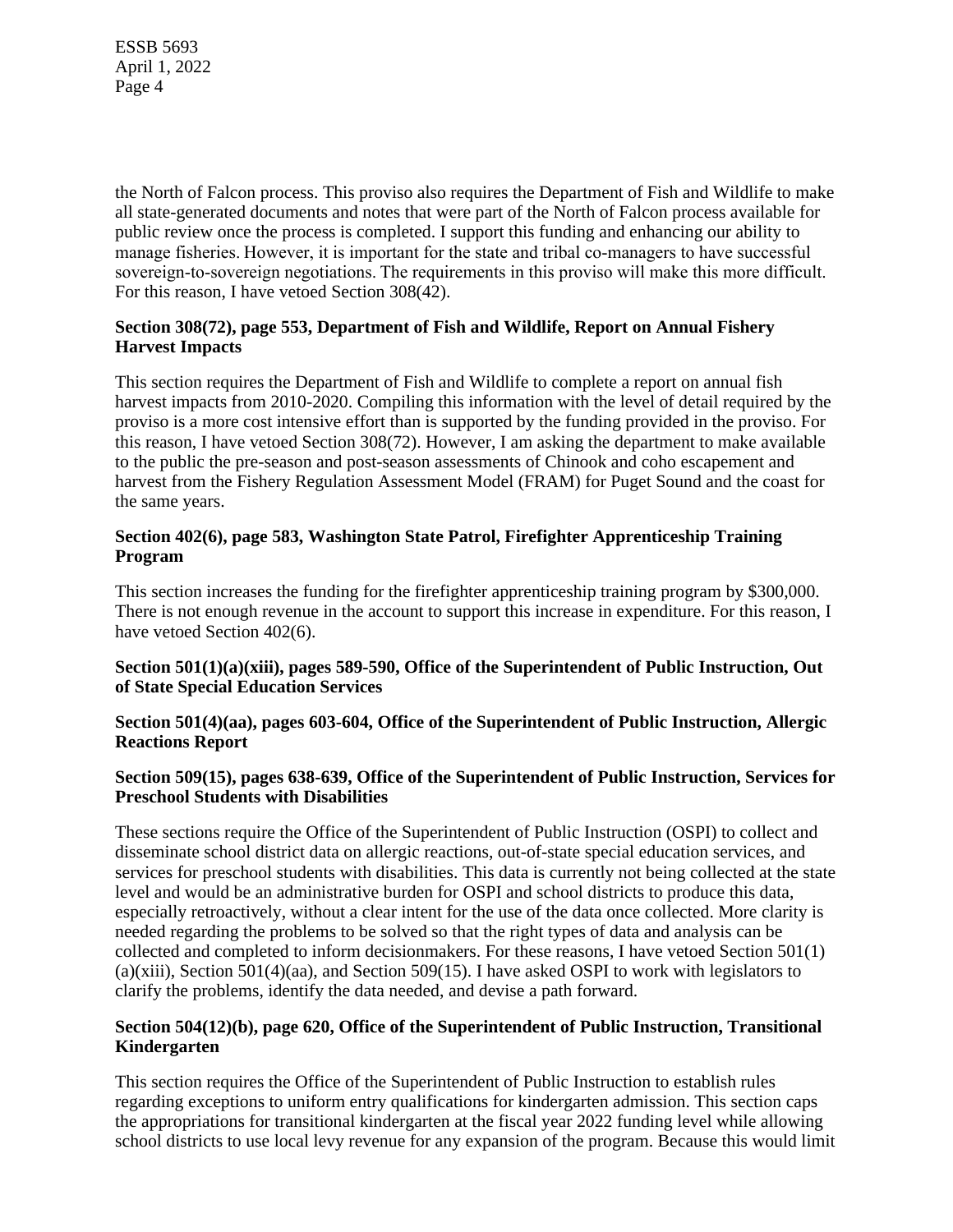the North of Falcon process. This proviso also requires the Department of Fish and Wildlife to make all state-generated documents and notes that were part of the North of Falcon process available for public review once the process is completed. I support this funding and enhancing our ability to manage fisheries. However, it is important for the state and tribal co-managers to have successful sovereign-to-sovereign negotiations. The requirements in this proviso will make this more difficult. For this reason, I have vetoed Section 308(42).

### **Section 308(72), page 553, Department of Fish and Wildlife, Report on Annual Fishery Harvest Impacts**

This section requires the Department of Fish and Wildlife to complete a report on annual fish harvest impacts from 2010-2020. Compiling this information with the level of detail required by the proviso is a more cost intensive effort than is supported by the funding provided in the proviso. For this reason, I have vetoed Section 308(72). However, I am asking the department to make available to the public the pre-season and post-season assessments of Chinook and coho escapement and harvest from the Fishery Regulation Assessment Model (FRAM) for Puget Sound and the coast for the same years.

### **Section 402(6), page 583, Washington State Patrol, Firefighter Apprenticeship Training Program**

This section increases the funding for the firefighter apprenticeship training program by \$300,000. There is not enough revenue in the account to support this increase in expenditure. For this reason, I have vetoed Section 402(6).

### **Section 501(1)(a)(xiii), pages 589-590, Office of the Superintendent of Public Instruction, Out of State Special Education Services**

#### **Section 501(4)(aa), pages 603-604, Office of the Superintendent of Public Instruction, Allergic Reactions Report**

### **Section 509(15), pages 638-639, Office of the Superintendent of Public Instruction, Services for Preschool Students with Disabilities**

These sections require the Office of the Superintendent of Public Instruction (OSPI) to collect and disseminate school district data on allergic reactions, out-of-state special education services, and services for preschool students with disabilities. This data is currently not being collected at the state level and would be an administrative burden for OSPI and school districts to produce this data, especially retroactively, without a clear intent for the use of the data once collected. More clarity is needed regarding the problems to be solved so that the right types of data and analysis can be collected and completed to inform decisionmakers. For these reasons, I have vetoed Section 501(1) (a)(xiii), Section 501(4)(aa), and Section 509(15). I have asked OSPI to work with legislators to clarify the problems, identify the data needed, and devise a path forward.

#### **Section 504(12)(b), page 620, Office of the Superintendent of Public Instruction, Transitional Kindergarten**

This section requires the Office of the Superintendent of Public Instruction to establish rules regarding exceptions to uniform entry qualifications for kindergarten admission. This section caps the appropriations for transitional kindergarten at the fiscal year 2022 funding level while allowing school districts to use local levy revenue for any expansion of the program. Because this would limit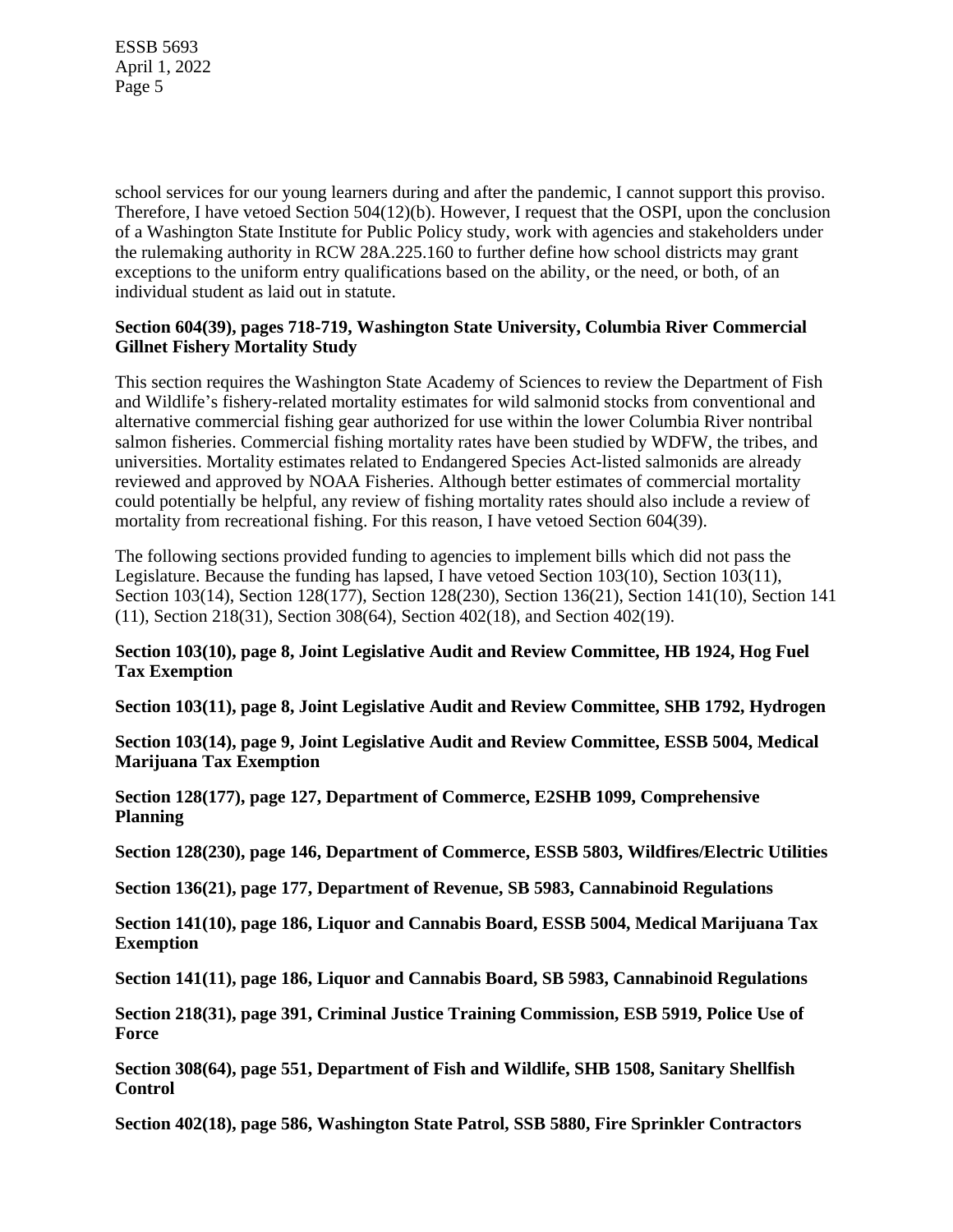school services for our young learners during and after the pandemic, I cannot support this proviso. Therefore, I have vetoed Section 504(12)(b). However, I request that the OSPI, upon the conclusion of a Washington State Institute for Public Policy study, work with agencies and stakeholders under the rulemaking authority in RCW 28A.225.160 to further define how school districts may grant exceptions to the uniform entry qualifications based on the ability, or the need, or both, of an individual student as laid out in statute.

#### **Section 604(39), pages 718-719, Washington State University, Columbia River Commercial Gillnet Fishery Mortality Study**

This section requires the Washington State Academy of Sciences to review the Department of Fish and Wildlife's fishery-related mortality estimates for wild salmonid stocks from conventional and alternative commercial fishing gear authorized for use within the lower Columbia River nontribal salmon fisheries. Commercial fishing mortality rates have been studied by WDFW, the tribes, and universities. Mortality estimates related to Endangered Species Act-listed salmonids are already reviewed and approved by NOAA Fisheries. Although better estimates of commercial mortality could potentially be helpful, any review of fishing mortality rates should also include a review of mortality from recreational fishing. For this reason, I have vetoed Section 604(39).

The following sections provided funding to agencies to implement bills which did not pass the Legislature. Because the funding has lapsed, I have vetoed Section 103(10), Section 103(11), Section 103(14), Section 128(177), Section 128(230), Section 136(21), Section 141(10), Section 141 (11), Section 218(31), Section 308(64), Section 402(18), and Section 402(19).

#### **Section 103(10), page 8, Joint Legislative Audit and Review Committee, HB 1924, Hog Fuel Tax Exemption**

**Section 103(11), page 8, Joint Legislative Audit and Review Committee, SHB 1792, Hydrogen** 

**Section 103(14), page 9, Joint Legislative Audit and Review Committee, ESSB 5004, Medical Marijuana Tax Exemption** 

**Section 128(177), page 127, Department of Commerce, E2SHB 1099, Comprehensive Planning** 

**Section 128(230), page 146, Department of Commerce, ESSB 5803, Wildfires/Electric Utilities** 

**Section 136(21), page 177, Department of Revenue, SB 5983, Cannabinoid Regulations** 

**Section 141(10), page 186, Liquor and Cannabis Board, ESSB 5004, Medical Marijuana Tax Exemption** 

**Section 141(11), page 186, Liquor and Cannabis Board, SB 5983, Cannabinoid Regulations** 

**Section 218(31), page 391, Criminal Justice Training Commission, ESB 5919, Police Use of Force** 

**Section 308(64), page 551, Department of Fish and Wildlife, SHB 1508, Sanitary Shellfish Control** 

**Section 402(18), page 586, Washington State Patrol, SSB 5880, Fire Sprinkler Contractors**